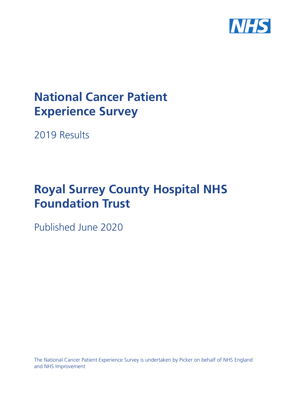

# **National Cancer Patient Experience Survey**

2019 Results

# **Royal Surrey County Hospital NHS Foundation Trust**

Published June 2020

The National Cancer Patient Experience Survey is undertaken by Picker on behalf of NHS England and NHS Improvement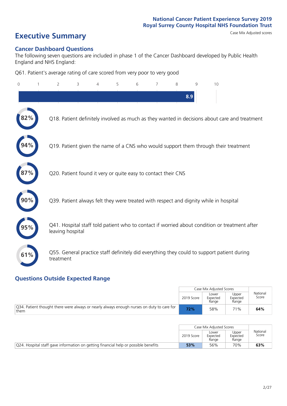# **Executive Summary** Case Mix Adjusted scores

### **Cancer Dashboard Questions**

The following seven questions are included in phase 1 of the Cancer Dashboard developed by Public Health England and NHS England:

Q61. Patient's average rating of care scored from very poor to very good

| $\Omega$ | $\overline{2}$   | 3                                                             | $\overline{4}$ | 5 | 6 | 7 | 8 | 9   | 10                                                                                            |
|----------|------------------|---------------------------------------------------------------|----------------|---|---|---|---|-----|-----------------------------------------------------------------------------------------------|
|          |                  |                                                               |                |   |   |   |   | 8.9 |                                                                                               |
|          |                  |                                                               |                |   |   |   |   |     | Q18. Patient definitely involved as much as they wanted in decisions about care and treatment |
|          |                  |                                                               |                |   |   |   |   |     | Q19. Patient given the name of a CNS who would support them through their treatment           |
|          |                  | Q20. Patient found it very or quite easy to contact their CNS |                |   |   |   |   |     |                                                                                               |
|          |                  |                                                               |                |   |   |   |   |     | Q39. Patient always felt they were treated with respect and dignity while in hospital         |
|          | leaving hospital |                                                               |                |   |   |   |   |     | Q41. Hospital staff told patient who to contact if worried about condition or treatment after |
| 61%      | treatment        |                                                               |                |   |   |   |   |     | Q55. General practice staff definitely did everything they could to support patient during    |

### **Questions Outside Expected Range**

|                                                                                                   |            | Case Mix Adjusted Scores   |                            |                   |
|---------------------------------------------------------------------------------------------------|------------|----------------------------|----------------------------|-------------------|
|                                                                                                   | 2019 Score | Lower<br>Expected<br>Range | Upper<br>Expected<br>Range | National<br>Score |
| Q34. Patient thought there were always or nearly always enough nurses on duty to care for<br>them | 72%        | 58%                        | 71%                        | 64%               |

|                                                                                               |            | Case Mix Adiusted Scores   |                            |                   |
|-----------------------------------------------------------------------------------------------|------------|----------------------------|----------------------------|-------------------|
|                                                                                               | 2019 Score | Lower<br>Expected<br>Range | Upper<br>Expected<br>Range | National<br>Score |
| $\sqrt{Q}$ 24. Hospital staff gave information on getting financial help or possible benefits | 53%        | 56%                        | 70%                        | 63%               |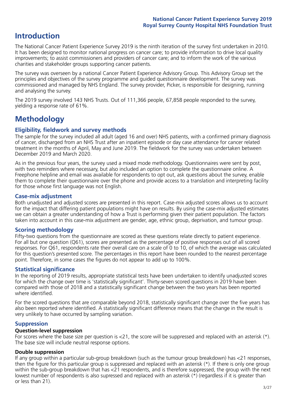# **Introduction**

The National Cancer Patient Experience Survey 2019 is the ninth iteration of the survey first undertaken in 2010. It has been designed to monitor national progress on cancer care; to provide information to drive local quality improvements; to assist commissioners and providers of cancer care; and to inform the work of the various charities and stakeholder groups supporting cancer patients.

The survey was overseen by a national Cancer Patient Experience Advisory Group. This Advisory Group set the principles and objectives of the survey programme and guided questionnaire development. The survey was commissioned and managed by NHS England. The survey provider, Picker, is responsible for designing, running and analysing the survey.

The 2019 survey involved 143 NHS Trusts. Out of 111,366 people, 67,858 people responded to the survey, yielding a response rate of 61%.

# **Methodology**

### **Eligibility, eldwork and survey methods**

The sample for the survey included all adult (aged 16 and over) NHS patients, with a confirmed primary diagnosis of cancer, discharged from an NHS Trust after an inpatient episode or day case attendance for cancer related treatment in the months of April, May and June 2019. The fieldwork for the survey was undertaken between December 2019 and March 2020.

As in the previous four years, the survey used a mixed mode methodology. Questionnaires were sent by post, with two reminders where necessary, but also included an option to complete the questionnaire online. A Freephone helpline and email was available for respondents to opt out, ask questions about the survey, enable them to complete their questionnaire over the phone and provide access to a translation and interpreting facility for those whose first language was not English.

### **Case-mix adjustment**

Both unadjusted and adjusted scores are presented in this report. Case-mix adjusted scores allows us to account for the impact that differing patient populations might have on results. By using the case-mix adjusted estimates we can obtain a greater understanding of how a Trust is performing given their patient population. The factors taken into account in this case-mix adjustment are gender, age, ethnic group, deprivation, and tumour group.

### **Scoring methodology**

Fifty-two questions from the questionnaire are scored as these questions relate directly to patient experience. For all but one question (Q61), scores are presented as the percentage of positive responses out of all scored responses. For Q61, respondents rate their overall care on a scale of 0 to 10, of which the average was calculated for this question's presented score. The percentages in this report have been rounded to the nearest percentage point. Therefore, in some cases the figures do not appear to add up to 100%.

### **Statistical significance**

In the reporting of 2019 results, appropriate statistical tests have been undertaken to identify unadjusted scores for which the change over time is 'statistically significant'. Thirty-seven scored questions in 2019 have been compared with those of 2018 and a statistically significant change between the two years has been reported where identified.

For the scored questions that are comparable beyond 2018, statistically significant change over the five years has also been reported where identified. A statistically significant difference means that the change in the result is very unlikely to have occurred by sampling variation.

### **Suppression**

### **Question-level suppression**

For scores where the base size per question is  $<$ 21, the score will be suppressed and replaced with an asterisk (\*). The base size will include neutral response options.

### **Double suppression**

If any group within a particular sub-group breakdown (such as the tumour group breakdown) has <21 responses, then the figure for this particular group is suppressed and replaced with an asterisk (\*). If there is only one group within the sub-group breakdown that has <21 respondents, and is therefore suppressed, the group with the next lowest number of respondents is also supressed and replaced with an asterisk (\*) (regardless if it is greater than or less than 21).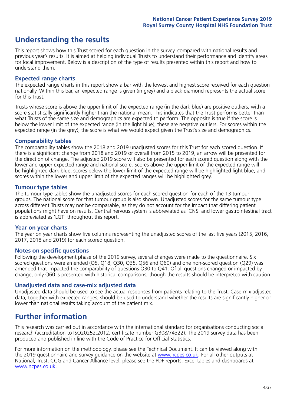# **Understanding the results**

This report shows how this Trust scored for each question in the survey, compared with national results and previous year's results. It is aimed at helping individual Trusts to understand their performance and identify areas for local improvement. Below is a description of the type of results presented within this report and how to understand them.

### **Expected range charts**

The expected range charts in this report show a bar with the lowest and highest score received for each question nationally. Within this bar, an expected range is given (in grey) and a black diamond represents the actual score for this Trust.

Trusts whose score is above the upper limit of the expected range (in the dark blue) are positive outliers, with a score statistically significantly higher than the national mean. This indicates that the Trust performs better than what Trusts of the same size and demographics are expected to perform. The opposite is true if the score is below the lower limit of the expected range (in the light blue); these are negative outliers. For scores within the expected range (in the grey), the score is what we would expect given the Trust's size and demographics.

### **Comparability tables**

The comparability tables show the 2018 and 2019 unadjusted scores for this Trust for each scored question. If there is a significant change from 2018 and 2019 or overall from 2015 to 2019, an arrow will be presented for the direction of change. The adjusted 2019 score will also be presented for each scored question along with the lower and upper expected range and national score. Scores above the upper limit of the expected range will be highlighted dark blue, scores below the lower limit of the expected range will be highlighted light blue, and scores within the lower and upper limit of the expected ranges will be highlighted grey.

### **Tumour type tables**

The tumour type tables show the unadjusted scores for each scored question for each of the 13 tumour groups. The national score for that tumour group is also shown. Unadjusted scores for the same tumour type across different Trusts may not be comparable, as they do not account for the impact that differing patient populations might have on results. Central nervous system is abbreviated as 'CNS' and lower gastrointestinal tract is abbreviated as 'LGT' throughout this report.

### **Year on year charts**

The year on year charts show five columns representing the unadjusted scores of the last five years (2015, 2016, 2017, 2018 and 2019) for each scored question.

### **Notes on specific questions**

Following the development phase of the 2019 survey, several changes were made to the questionnaire. Six scored questions were amended (Q5, Q18, Q30, Q35, Q56 and Q60) and one non-scored question (Q29) was amended that impacted the comparability of questions Q30 to Q41. Of all questions changed or impacted by change, only Q60 is presented with historical comparisons; though the results should be interpreted with caution.

### **Unadjusted data and case-mix adjusted data**

Unadjusted data should be used to see the actual responses from patients relating to the Trust. Case-mix adjusted data, together with expected ranges, should be used to understand whether the results are significantly higher or lower than national results taking account of the patient mix.

### **Further information**

This research was carried out in accordance with the international standard for organisations conducting social research (accreditation to ISO20252:2012; certificate number GB08/74322). The 2019 survey data has been produced and published in line with the Code of Practice for Official Statistics.

For more information on the methodology, please see the Technical Document. It can be viewed along with the 2019 questionnaire and survey quidance on the website at [www.ncpes.co.uk](https://www.ncpes.co.uk/supporting-documents). For all other outputs at National, Trust, CCG and Cancer Alliance level, please see the PDF reports, Excel tables and dashboards at [www.ncpes.co.uk.](https://www.ncpes.co.uk/current-results)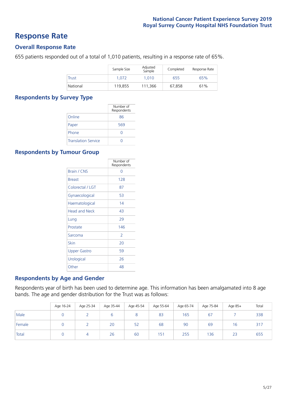### **Response Rate**

### **Overall Response Rate**

655 patients responded out of a total of 1,010 patients, resulting in a response rate of 65%.

|          | Sample Size | Adjusted<br>Sample | Completed | Response Rate |
|----------|-------------|--------------------|-----------|---------------|
| Trust    | 1.072       | 1.010              | 655       | 65%           |
| National | 119.855     | 111.366            | 67.858    | 61%           |

### **Respondents by Survey Type**

|                            | Number of<br>Respondents |
|----------------------------|--------------------------|
| Online                     | 86                       |
| Paper                      | 569                      |
| Phone                      | Ω                        |
| <b>Translation Service</b> |                          |

### **Respondents by Tumour Group**

|                      | Number of<br>Respondents |
|----------------------|--------------------------|
| <b>Brain / CNS</b>   | ∩                        |
| <b>Breast</b>        | 128                      |
| Colorectal / LGT     | 87                       |
| Gynaecological       | 53                       |
| Haematological       | 14                       |
| <b>Head and Neck</b> | 43                       |
| Lung                 | 29                       |
| Prostate             | 146                      |
| Sarcoma              | $\mathcal{P}$            |
| Skin                 | 20                       |
| Upper Gastro         | 59                       |
| Urological           | 26                       |
| Other                | 48                       |

### **Respondents by Age and Gender**

Respondents year of birth has been used to determine age. This information has been amalgamated into 8 age bands. The age and gender distribution for the Trust was as follows:

|        | Age 16-24 | Age 25-34 | Age 35-44 | Age 45-54 | Age 55-64 | Age 65-74 | Age 75-84 | Age 85+ | Total |
|--------|-----------|-----------|-----------|-----------|-----------|-----------|-----------|---------|-------|
| Male   |           |           |           |           | 83        | 165       | 67        |         | 338   |
| Female |           |           | 20        | 52        | 68        | 90        | 69        | 16      | 317   |
| Total  |           |           | 26        | 60        | 151       | 255       | 136       | 23      | 655   |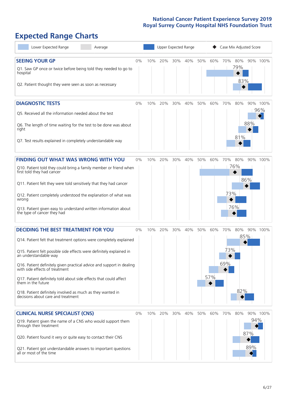# **Expected Range Charts**

| Lower Expected Range<br>Average                                                                                                                                                                                                                                                                                                                                                                                                                                                                                             |    |     | Upper Expected Range |     |     |     | Case Mix Adjusted Score |                   |                   |                   |                 |
|-----------------------------------------------------------------------------------------------------------------------------------------------------------------------------------------------------------------------------------------------------------------------------------------------------------------------------------------------------------------------------------------------------------------------------------------------------------------------------------------------------------------------------|----|-----|----------------------|-----|-----|-----|-------------------------|-------------------|-------------------|-------------------|-----------------|
| <b>SEEING YOUR GP</b><br>Q1. Saw GP once or twice before being told they needed to go to<br>hospital<br>Q2. Patient thought they were seen as soon as necessary                                                                                                                                                                                                                                                                                                                                                             | 0% | 10% | 20%                  | 30% | 40% | 50% | 60%                     | 70%               | 80%<br>79%<br>83% |                   | 90% 100%        |
| <b>DIAGNOSTIC TESTS</b><br>Q5. Received all the information needed about the test<br>Q6. The length of time waiting for the test to be done was about<br>right<br>Q7. Test results explained in completely understandable way                                                                                                                                                                                                                                                                                               | 0% | 10% | 20%                  | 30% | 40% | 50% | 60%                     | 70%               | 80%<br>81%        | 88%               | 90% 100%<br>96% |
| <b>FINDING OUT WHAT WAS WRONG WITH YOU</b><br>Q10. Patient told they could bring a family member or friend when<br>first told they had cancer<br>Q11. Patient felt they were told sensitively that they had cancer<br>Q12. Patient completely understood the explanation of what was<br>wrong<br>Q13. Patient given easy to understand written information about<br>the type of cancer they had                                                                                                                             | 0% | 10% | 20%                  | 30% | 40% | 50% | 60%                     | 70%<br>73%        | 80%<br>76%<br>76% | 86%               | 90% 100%        |
| <b>DECIDING THE BEST TREATMENT FOR YOU</b><br>Q14. Patient felt that treatment options were completely explained<br>Q15. Patient felt possible side effects were definitely explained in<br>an understandable way<br>Q16. Patient definitely given practical advice and support in dealing<br>with side effects of treatment<br>Q17. Patient definitely told about side effects that could affect<br>them in the future<br>Q18. Patient definitely involved as much as they wanted in<br>decisions about care and treatment | 0% | 10% | 20%                  | 30% | 40% | 50% | 60%<br>57%              | 70%<br>73%<br>69% | 80%<br>82%        | 85%               | 90% 100%        |
| <b>CLINICAL NURSE SPECIALIST (CNS)</b><br>Q19. Patient given the name of a CNS who would support them<br>through their treatment<br>Q20. Patient found it very or quite easy to contact their CNS<br>Q21. Patient got understandable answers to important questions<br>all or most of the time                                                                                                                                                                                                                              | 0% | 10% | 20%                  | 30% | 40% | 50% | 60%                     | 70%               | 80%               | 94%<br>87%<br>89% | 90% 100%        |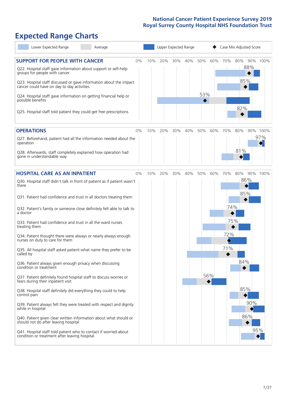# **Expected Range Charts**

| Lower Expected Range<br>Average                                                                                                                                                                                                                               |    | Upper Expected Range |     |     |     |     |     | Case Mix Adjusted Score |                   |          |  |
|---------------------------------------------------------------------------------------------------------------------------------------------------------------------------------------------------------------------------------------------------------------|----|----------------------|-----|-----|-----|-----|-----|-------------------------|-------------------|----------|--|
| <b>SUPPORT FOR PEOPLE WITH CANCER</b><br>Q22. Hospital staff gave information about support or self-help<br>groups for people with cancer<br>Q23. Hospital staff discussed or gave information about the impact<br>cancer could have on day to day activities | 0% | 10%                  | 20% | 30% | 40% | 50% | 60% | 70%                     | 80%<br>88%<br>85% | 90% 100% |  |
| Q24. Hospital staff gave information on getting financial help or<br>possible benefits<br>Q25. Hospital staff told patient they could get free prescriptions                                                                                                  |    |                      |     |     |     | 53% |     |                         | 82%               |          |  |
| <b>OPERATIONS</b>                                                                                                                                                                                                                                             | 0% | 10%                  | 20% | 30% | 40% | 50% | 60% | 70%                     | 80%               | 90% 100% |  |
| Q27. Beforehand, patient had all the information needed about the<br>operation<br>Q28. Afterwards, staff completely explained how operation had<br>gone in understandable way                                                                                 |    |                      |     |     |     |     |     |                         | 81%               | 97%      |  |
| <b>HOSPITAL CARE AS AN INPATIENT</b>                                                                                                                                                                                                                          | 0% | 10%                  | 20% | 30% | 40% | 50% | 60% | 70%                     | 80%               | 90% 100% |  |
| Q30. Hospital staff didn't talk in front of patient as if patient wasn't<br>there<br>Q31. Patient had confidence and trust in all doctors treating them                                                                                                       |    |                      |     |     |     |     |     |                         | 86%<br>85%        |          |  |
| Q32. Patient's family or someone close definitely felt able to talk to<br>a doctor                                                                                                                                                                            |    |                      |     |     |     |     |     | 74%                     |                   |          |  |
| Q33. Patient had confidence and trust in all the ward nurses<br>treating them                                                                                                                                                                                 |    |                      |     |     |     |     |     |                         | 75%               |          |  |
| Q34. Patient thought there were always or nearly always enough<br>nurses on duty to care for them                                                                                                                                                             |    |                      |     |     |     |     |     | 72%                     |                   |          |  |
| Q35. All hospital staff asked patient what name they prefer to be<br>called by                                                                                                                                                                                |    |                      |     |     |     |     |     | 71%                     |                   |          |  |
| Q36. Patient always given enough privacy when discussing<br>condition or treatment                                                                                                                                                                            |    |                      |     |     |     |     |     |                         | 84%               |          |  |
| Q37. Patient definitely found hospital staff to discuss worries or<br>fears during their inpatient visit                                                                                                                                                      |    |                      |     |     |     |     | 56% |                         |                   |          |  |
| Q38. Hospital staff definitely did everything they could to help<br>control pain                                                                                                                                                                              |    |                      |     |     |     |     |     |                         | 85%               |          |  |
| Q39. Patient always felt they were treated with respect and dignity<br>while in hospital                                                                                                                                                                      |    |                      |     |     |     |     |     |                         | 90%               |          |  |
| Q40. Patient given clear written information about what should or<br>should not do after leaving hospital                                                                                                                                                     |    |                      |     |     |     |     |     |                         | 86%               |          |  |
| Q41. Hospital staff told patient who to contact if worried about<br>condition or treatment after leaving hospital                                                                                                                                             |    |                      |     |     |     |     |     |                         |                   | 95%      |  |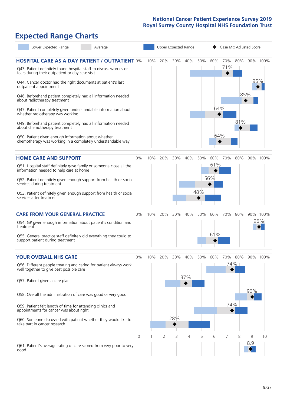# **Expected Range Charts**

| Lower Expected Range<br>Average                                                                                                                                                |                |     |     |     | Upper Expected Range |     |     | Case Mix Adjusted Score |     |          |          |  |  |
|--------------------------------------------------------------------------------------------------------------------------------------------------------------------------------|----------------|-----|-----|-----|----------------------|-----|-----|-------------------------|-----|----------|----------|--|--|
| <b>HOSPITAL CARE AS A DAY PATIENT / OUTPATIENT 0%</b><br>Q43. Patient definitely found hospital staff to discuss worries or<br>fears during their outpatient or day case visit |                | 10% | 20% | 30% | 40%                  | 50% | 60% | 70%<br>71%              | 80% | 90% 100% |          |  |  |
| Q44. Cancer doctor had the right documents at patient's last<br>outpatient appointment                                                                                         |                |     |     |     |                      |     |     |                         |     | 95%      |          |  |  |
| Q46. Beforehand patient completely had all information needed<br>about radiotherapy treatment                                                                                  |                |     |     |     |                      |     |     |                         | 85% |          |          |  |  |
| Q47. Patient completely given understandable information about<br>whether radiotherapy was working                                                                             |                |     |     |     |                      |     | 64% |                         |     |          |          |  |  |
| Q49. Beforehand patient completely had all information needed<br>about chemotherapy treatment                                                                                  |                |     |     |     |                      |     |     |                         | 81% |          |          |  |  |
| Q50. Patient given enough information about whether<br>chemotherapy was working in a completely understandable way                                                             |                |     |     |     |                      |     | 64% |                         |     |          |          |  |  |
| <b>HOME CARE AND SUPPORT</b>                                                                                                                                                   | 0%             | 10% | 20% | 30% | 40%                  | 50% | 60% | 70%                     | 80% |          | 90% 100% |  |  |
| Q51. Hospital staff definitely gave family or someone close all the<br>information needed to help care at home                                                                 |                |     |     |     |                      |     | 61% |                         |     |          |          |  |  |
| Q52. Patient definitely given enough support from health or social<br>services during treatment                                                                                |                |     |     |     |                      |     | 56% |                         |     |          |          |  |  |
| Q53. Patient definitely given enough support from health or social<br>services after treatment                                                                                 |                |     |     |     |                      | 48% |     |                         |     |          |          |  |  |
| <b>CARE FROM YOUR GENERAL PRACTICE</b>                                                                                                                                         | 0%             | 10% | 20% | 30% | 40%                  | 50% | 60% | 70%                     | 80% | 90% 100% |          |  |  |
| Q54. GP given enough information about patient's condition and<br>treatment                                                                                                    |                |     |     |     |                      |     |     |                         |     |          | 96%      |  |  |
| Q55. General practice staff definitely did everything they could to<br>support patient during treatment                                                                        |                |     |     |     |                      |     | 61% |                         |     |          |          |  |  |
| <b>YOUR OVERALL NHS CARE</b>                                                                                                                                                   | $0\%$          | 10% | 20% | 30% | 40%                  | 50% | 60% | 70%                     | 80% | 90% 100% |          |  |  |
| Q56. Different people treating and caring for patient always work<br>well together to give best possible care                                                                  |                |     |     |     |                      |     |     |                         | 74% |          |          |  |  |
| Q57. Patient given a care plan                                                                                                                                                 |                |     |     |     | 37%                  |     |     |                         |     |          |          |  |  |
| Q58. Overall the administration of care was good or very good                                                                                                                  |                |     |     |     |                      |     |     |                         |     | 90%      |          |  |  |
| Q59. Patient felt length of time for attending clinics and<br>appointments for cancer was about right                                                                          |                |     |     |     |                      |     |     | 74%                     |     |          |          |  |  |
| Q60. Someone discussed with patient whether they would like to<br>take part in cancer research                                                                                 |                |     |     | 28% |                      |     |     |                         |     |          |          |  |  |
|                                                                                                                                                                                | $\overline{0}$ | -1  | 2   | 3   | 4                    | 5   | 6   | 7                       | 8   | 9        | 10       |  |  |
| Q61. Patient's average rating of care scored from very poor to very<br>good                                                                                                    |                |     |     |     |                      |     |     |                         |     | 8.9      |          |  |  |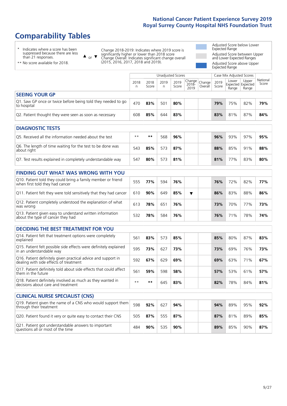# **Comparability Tables**

\* Indicates where a score has been suppressed because there are less than 21 responses.

\*\* No score available for 2018.

or  $\blacktriangledown$  $\blacktriangle$ 

Change 2018-2019: Indicates where 2019 score is significantly higher or lower than 2018 score Change Overall: Indicates significant change overall (2015, 2016, 2017, 2018 and 2019).

Adjusted Score below Lower Expected Range Adjusted Score between Upper and Lower Expected Ranges Adjusted Score above Upper Expected Range

|                                                                                                                  |           |               | Unadjusted Scores |               |                            |                   |               | Case Mix Adjusted Scores            |                |                   |
|------------------------------------------------------------------------------------------------------------------|-----------|---------------|-------------------|---------------|----------------------------|-------------------|---------------|-------------------------------------|----------------|-------------------|
|                                                                                                                  | 2018<br>n | 2018<br>Score | 2019<br>n         | 2019<br>Score | Change<br>$2018 -$<br>2019 | Change<br>Overall | 2019<br>Score | Lower<br>Expected Expected<br>Range | Upper<br>Range | National<br>Score |
| <b>SEEING YOUR GP</b>                                                                                            |           |               |                   |               |                            |                   |               |                                     |                |                   |
| Q1. Saw GP once or twice before being told they needed to go<br>to hospital                                      | 470       | 83%           | 501               | 80%           |                            |                   | 79%           | 75%                                 | 82%            | 79%               |
| Q2. Patient thought they were seen as soon as necessary                                                          | 608       | 85%           | 644               | 83%           |                            |                   | 83%           | 81%                                 | 87%            | 84%               |
|                                                                                                                  |           |               |                   |               |                            |                   |               |                                     |                |                   |
| <b>DIAGNOSTIC TESTS</b>                                                                                          |           |               |                   |               |                            |                   |               |                                     |                |                   |
| Q5. Received all the information needed about the test                                                           | $**$      | $* *$         | 568               | 96%           |                            |                   | 96%           | 93%                                 | 97%            | 95%               |
| www.communication.com/communication.com/communication.com/communication.com/communication.com/communication.com/ |           |               |                   |               |                            |                   |               |                                     |                |                   |

| Q6. The length of time waiting for the test to be done was<br>about right | 543 | 85% | 573 | 87% |  | 88% | 85% | 91% | 88% |
|---------------------------------------------------------------------------|-----|-----|-----|-----|--|-----|-----|-----|-----|
| Q7. Test results explained in completely understandable way               | 547 | 80% | 573 | 81% |  | 81% | 77% | 83% | 80% |

| <b>FINDING OUT WHAT WAS WRONG WITH YOU</b>                                                      |     |     |     |     |  |     |     |     |     |
|-------------------------------------------------------------------------------------------------|-----|-----|-----|-----|--|-----|-----|-----|-----|
| Q10. Patient told they could bring a family member or friend<br>when first told they had cancer | 555 | 77% | 594 | 76% |  | 76% | 72% | 82% | 77% |
| Q11. Patient felt they were told sensitively that they had cancer                               | 610 | 90% | 649 | 85% |  | 86% | 83% | 88% | 86% |
| Q12. Patient completely understood the explanation of what<br>was wrong                         | 613 | 78% | 651 | 76% |  | 73% | 70% | 77% | 73% |
| Q13. Patient given easy to understand written information<br>about the type of cancer they had  | 532 | 78% | 584 | 76% |  | 76% | 71% | 78% | 74% |

| <b>DECIDING THE BEST TREATMENT FOR YOU</b>                                                              |      |     |     |     |  |     |     |     |     |
|---------------------------------------------------------------------------------------------------------|------|-----|-----|-----|--|-----|-----|-----|-----|
| Q14. Patient felt that treatment options were completely<br>explained                                   | 561  | 83% | 573 | 85% |  | 85% | 80% | 87% | 83% |
| Q15. Patient felt possible side effects were definitely explained<br>in an understandable way           | 595  | 73% | 627 | 73% |  | 73% | 69% | 76% | 73% |
| Q16. Patient definitely given practical advice and support in<br>dealing with side effects of treatment | 592  | 67% | 629 | 69% |  | 69% | 63% | 71% | 67% |
| Q17. Patient definitely told about side effects that could affect<br>them in the future                 | 561  | 59% | 598 | 58% |  | 57% | 53% | 61% | 57% |
| Q18. Patient definitely involved as much as they wanted in<br>decisions about care and treatment        | $**$ | **  | 645 | 83% |  | 82% | 78% | 84% | 81% |

| <b>CLINICAL NURSE SPECIALIST (CNS)</b>                                                    |     |     |     |        |  |     |     |     |     |
|-------------------------------------------------------------------------------------------|-----|-----|-----|--------|--|-----|-----|-----|-----|
| Q19. Patient given the name of a CNS who would support them<br>through their treatment    | 598 | 92% | 627 | 94%    |  | 94% | 89% | 95% | 92% |
| Q20. Patient found it very or quite easy to contact their CNS                             | 505 | 87% | 555 | 87%    |  | 87% | 81% | 89% | 85% |
| Q21. Patient got understandable answers to important<br>questions all or most of the time | 484 | 90% | 535 | $90\%$ |  | 89% | 85% | 90% | 87% |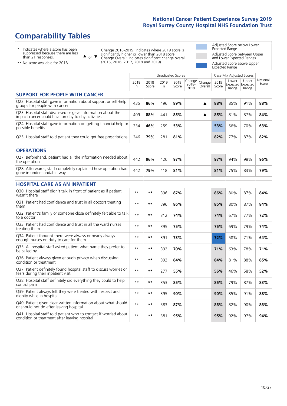# **Comparability Tables**

\* Indicates where a score has been suppressed because there are less than 21 responses.

\*\* No score available for 2018.

 $\triangle$  or  $\nabla$ 

Change 2018-2019: Indicates where 2019 score is significantly higher or lower than 2018 score Change Overall: Indicates significant change overall (2015, 2016, 2017, 2018 and 2019).

Adjusted Score below Lower Expected Range Adjusted Score between Upper and Lower Expected Ranges Adjusted Score above Upper Expected Range

|                                                                                                                   |              |               | <b>Unadjusted Scores</b> |               |                            |                   |               | Case Mix Adjusted Scores            |                |                   |
|-------------------------------------------------------------------------------------------------------------------|--------------|---------------|--------------------------|---------------|----------------------------|-------------------|---------------|-------------------------------------|----------------|-------------------|
|                                                                                                                   | 2018<br>n    | 2018<br>Score | 2019<br>$\mathsf{n}$     | 2019<br>Score | Change<br>$2018 -$<br>2019 | Change<br>Overall | 2019<br>Score | Lower<br>Expected Expected<br>Range | Upper<br>Range | National<br>Score |
| <b>SUPPORT FOR PEOPLE WITH CANCER</b>                                                                             |              |               |                          |               |                            |                   |               |                                     |                |                   |
| Q22. Hospital staff gave information about support or self-help<br>groups for people with cancer                  | 435          | 86%           | 496                      | 89%           |                            | ▲                 | 88%           | 85%                                 | 91%            | 88%               |
| Q23. Hospital staff discussed or gave information about the<br>impact cancer could have on day to day activities  | 409          | 88%           | 441                      | 85%           |                            | ▲                 | 85%           | 81%                                 | 87%            | 84%               |
| Q24. Hospital staff gave information on getting financial help or<br>possible benefits                            | 234          | 46%           | 259                      | 53%           |                            |                   | 53%           | 56%                                 | 70%            | 63%               |
| Q25. Hospital staff told patient they could get free prescriptions                                                | 246          | 79%           | 281                      | 81%           |                            |                   | 82%           | 77%                                 | 87%            | 82%               |
| <b>OPERATIONS</b>                                                                                                 |              |               |                          |               |                            |                   |               |                                     |                |                   |
| Q27. Beforehand, patient had all the information needed about<br>the operation                                    | 442          | 96%           | 420                      | 97%           |                            |                   | 97%           | 94%                                 | 98%            | 96%               |
| Q28. Afterwards, staff completely explained how operation had<br>gone in understandable way                       | 442          | 79%           | 418                      | 81%           |                            |                   | 81%           | 75%                                 | 83%            | 79%               |
| <b>HOSPITAL CARE AS AN INPATIENT</b>                                                                              |              |               |                          |               |                            |                   |               |                                     |                |                   |
| Q30. Hospital staff didn't talk in front of patient as if patient<br>wasn't there                                 | $\star\star$ | **            | 396                      | 87%           |                            |                   | 86%           | 80%                                 | 87%            | 84%               |
| Q31. Patient had confidence and trust in all doctors treating<br>them                                             | $**$         | $***$         | 396                      | 86%           |                            |                   | 85%           | 80%                                 | 87%            | 84%               |
| Q32. Patient's family or someone close definitely felt able to talk<br>to a doctor                                | $* *$        | $***$         | 312                      | 74%           |                            |                   | 74%           | 67%                                 | 77%            | 72%               |
| O33. Patient had confidence and trust in all the ward nurses<br>treating them                                     | $**$         | $***$         | 395                      | 75%           |                            |                   | 75%           | 69%                                 | 79%            | 74%               |
| Q34. Patient thought there were always or nearly always<br>enough nurses on duty to care for them                 | $\star\star$ | $***$         | 391                      | 73%           |                            |                   | 72%           | 58%                                 | 71%            | 64%               |
| Q35. All hospital staff asked patient what name they prefer to<br>be called by                                    | $* *$        | $***$         | 392                      | 70%           |                            |                   | 71%           | 63%                                 | 78%            | 71%               |
| Q36. Patient always given enough privacy when discussing<br>condition or treatment                                | $* *$        | $***$         | 392                      | 84%           |                            |                   | 84%           | 81%                                 | 88%            | 85%               |
| Q37. Patient definitely found hospital staff to discuss worries or<br>fears during their inpatient visit          | $* *$        | $***$         | 277                      | 55%           |                            |                   | 56%           | 46%                                 | 58%            | 52%               |
| Q38. Hospital staff definitely did everything they could to help<br>control pain                                  | $* *$        | $***$         | 353                      | 85%           |                            |                   | 85%           | 79%                                 | 87%            | 83%               |
| Q39. Patient always felt they were treated with respect and<br>dignity while in hospital                          | $***$        | $***$         | 395                      | 90%           |                            |                   | 90%           | 85%                                 | 91%            | 88%               |
| Q40. Patient given clear written information about what should<br>or should not do after leaving hospital         | $* *$        | $***$         | 383                      | 87%           |                            |                   | 86%           | 82%                                 | 90%            | 86%               |
| Q41. Hospital staff told patient who to contact if worried about<br>condition or treatment after leaving hospital | $**$         | **            | 381                      | 95%           |                            |                   | 95%           | 92%                                 | 97%            | 94%               |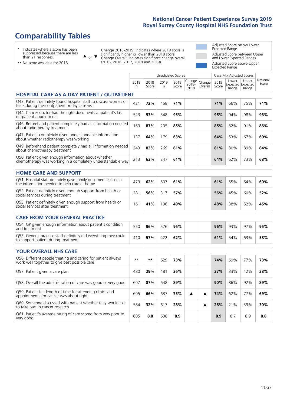# **Comparability Tables**

\* Indicates where a score has been suppressed because there are less than 21 responses.

\*\* No score available for 2018.

or  $\blacktriangledown$  $\blacktriangle$ 

Change 2018-2019: Indicates where 2019 score is significantly higher or lower than 2018 score Change Overall: Indicates significant change overall (2015, 2016, 2017, 2018 and 2019).

Adjusted Score below Lower Expected Range Adjusted Score between Upper and Lower Expected Ranges Adjusted Score above Upper Expected Range

|                                                                                                                       |              |               |           | <b>Unadjusted Scores</b> |                         |                   |               | Case Mix Adjusted Scores |                                     |                   |
|-----------------------------------------------------------------------------------------------------------------------|--------------|---------------|-----------|--------------------------|-------------------------|-------------------|---------------|--------------------------|-------------------------------------|-------------------|
|                                                                                                                       | 2018<br>n.   | 2018<br>Score | 2019<br>n | 2019<br>Score            | Change<br>2018-<br>2019 | Change<br>Overall | 2019<br>Score | Lower<br>Range           | Upper<br>Expected Expected<br>Range | National<br>Score |
| <b>HOSPITAL CARE AS A DAY PATIENT / OUTPATIENT</b>                                                                    |              |               |           |                          |                         |                   |               |                          |                                     |                   |
| Q43. Patient definitely found hospital staff to discuss worries or<br>fears during their outpatient or day case visit | 421          | 72%           | 458       | 71%                      |                         |                   | 71%           | 66%                      | 75%                                 | 71%               |
| Q44. Cancer doctor had the right documents at patient's last<br>outpatient appointment                                | 523          | 93%           | 548       | 95%                      |                         |                   | 95%           | 94%                      | 98%                                 | 96%               |
| Q46. Beforehand patient completely had all information needed<br>about radiotherapy treatment                         | 163          | 87%           | 205       | 85%                      |                         |                   | 85%           | 82%                      | 91%                                 | 86%               |
| Q47. Patient completely given understandable information<br>about whether radiotherapy was working                    | 137          | 64%           | 179       | 63%                      |                         |                   | 64%           | 53%                      | 67%                                 | 60%               |
| Q49. Beforehand patient completely had all information needed<br>about chemotherapy treatment                         | 243          | 83%           | 269       | 81%                      |                         |                   | 81%           | 80%                      | 89%                                 | 84%               |
| Q50. Patient given enough information about whether<br>chemotherapy was working in a completely understandable way    | 213          | 63%           | 247       | 61%                      |                         |                   | 64%           | 62%                      | 73%                                 | 68%               |
| <b>HOME CARE AND SUPPORT</b>                                                                                          |              |               |           |                          |                         |                   |               |                          |                                     |                   |
| Q51. Hospital staff definitely gave family or someone close all<br>the information needed to help care at home        | 479          | 62%           | 507       | 61%                      |                         |                   | 61%           | 55%                      | 64%                                 | 60%               |
| Q52. Patient definitely given enough support from health or<br>social services during treatment                       | 281          | 56%           | 317       | 57%                      |                         |                   | 56%           | 45%                      | 60%                                 | 52%               |
| Q53. Patient definitely given enough support from health or<br>social services after treatment                        | 161          | 41%           | 196       | 49%                      |                         |                   | 48%           | 38%                      | 52%                                 | 45%               |
| CARE FROM YOUR GENERAL PRACTICE                                                                                       |              |               |           |                          |                         |                   |               |                          |                                     |                   |
| Q54. GP given enough information about patient's condition<br>and treatment                                           | 550          | 96%           | 576       | 96%                      |                         |                   | 96%           | 93%                      | 97%                                 | 95%               |
| Q55. General practice staff definitely did everything they could<br>to support patient during treatment               | 410          | 57%           | 422       | 62%                      |                         |                   | 61%           | 54%                      | 63%                                 | 58%               |
| <b>YOUR OVERALL NHS CARE</b>                                                                                          |              |               |           |                          |                         |                   |               |                          |                                     |                   |
|                                                                                                                       |              |               |           |                          |                         |                   |               |                          |                                     |                   |
| Q56. Different people treating and caring for patient always<br>work well together to give best possible care         | $\star\star$ | **            | 629       | 73%                      |                         |                   | 74%           | 69%                      | 77%                                 | 73%               |
| Q57. Patient given a care plan                                                                                        | 480          | 29%           | 481       | 36%                      |                         |                   | 37%           | 33%                      | 42%                                 | 38%               |
| Q58. Overall the administration of care was good or very good                                                         | 607          | 87%           | 648       | 89%                      |                         |                   | 90%           | 86%                      | 92%                                 | 89%               |
| Q59. Patient felt length of time for attending clinics and<br>appointments for cancer was about right                 | 605          | 66%           | 637       | 75%                      | ▲                       | ▲                 | 74%           | 62%                      | 77%                                 | 69%               |
| Q60. Someone discussed with patient whether they would like<br>to take part in cancer research                        | 584          | 32%           | 617       | 28%                      |                         | ▲                 | 28%           | 21%                      | 39%                                 | 30%               |
| Q61. Patient's average rating of care scored from very poor to<br>very good                                           | 605          | 8.8           | 638       | 8.9                      |                         |                   | 8.9           | 8.7                      | 8.9                                 | 8.8               |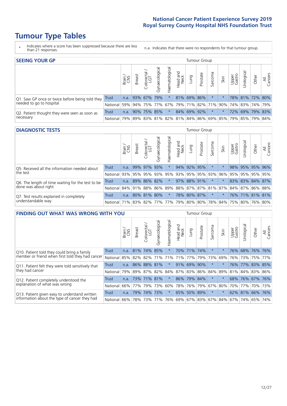# **Tumour Type Tables**

- \* Indicates where a score has been suppressed because there are less than 21 responses.
- n.a. Indicates that there were no respondents for that tumour group.

| <b>SEEING YOUR GP</b>                           |              |              |         |                   |                |                |                  |             | Tumour Group |                                                     |         |                 |                                  |       |                |
|-------------------------------------------------|--------------|--------------|---------|-------------------|----------------|----------------|------------------|-------------|--------------|-----------------------------------------------------|---------|-----------------|----------------------------------|-------|----------------|
|                                                 |              | Brain<br>CNS | Breast  | Colorectal<br>LGT | Gynaecological | Haematological | Head and<br>Neck | Lung        | Prostate     | Sarcoma                                             | Skin    | Upper<br>Gastro | $\overline{\sigma}$<br>Jrologica | Other | All<br>Cancers |
| Q1. Saw GP once or twice before being told they | <b>Trust</b> | n.a.         | 93% 67% |                   | 79%            | $\star$        |                  |             | 81% 69% 86%  | $\star$                                             |         |                 | 78% 81% 72% 80%                  |       |                |
| needed to go to hospital                        | National 59% |              |         |                   |                |                |                  |             |              | 94% 75% 77% 67% 79% 71% 82% 71% 90%                 |         |                 | 74%   83%   74%   79%            |       |                |
| Q2. Patient thought they were seen as soon as   | Trust        | n.a.         |         | 90% 75% 85%       |                | $\star$        |                  | 84% 69% 92% |              | $\star$                                             | $\star$ |                 | 72% 69% 79% 83%                  |       |                |
| necessary                                       | National l   | 79%          |         |                   |                |                |                  |             |              | 89% 83% 81% 82% 81% 84% 86% 69% 85% 79% 85% 79% 84% |         |                 |                                  |       |                |

#### **DIAGNOSTIC TESTS** Tumour Group

|                                                   |                                                                  | Brain | <b>Breast</b> | olorectal<br>LGT<br>Ü | Gynaecological | Haematological | Head and<br>Neck | Lung        | Prostate | Sarcoma | Skin | Upper<br>Gastro | Irological      | Other | All<br>Cancers |
|---------------------------------------------------|------------------------------------------------------------------|-------|---------------|-----------------------|----------------|----------------|------------------|-------------|----------|---------|------|-----------------|-----------------|-------|----------------|
| Q5. Received all the information needed about     | <b>Trust</b>                                                     | n.a.  |               | 99% 97%               | 93%            |                |                  | 94% 92% 95% |          | $\star$ |      |                 | 98% 95% 95% 96% |       |                |
| the test                                          | National                                                         | 93%   | 95%           | 95%                   | 93%            |                | 95% 93% 95% 95%  |             |          | 93%     | 96%  | 95%             | 95% 95% 95%     |       |                |
| Q6. The length of time waiting for the test to be | Trust                                                            | n.a.  |               | 89% 86%               | 82%            | $\star$        |                  | 97% 88% 91% |          | $\star$ |      |                 | 83% 83% 84% 87% |       |                |
| done was about right                              | National 84% 91% 88% 86% 89% 88% 87% 87% 81% 87% 84% 87% 86% 88% |       |               |                       |                |                |                  |             |          |         |      |                 |                 |       |                |
| Q7. Test results explained in completely          | <b>Trust</b>                                                     | n.a.  |               | 80% 81% 80%           |                | $\ast$         |                  | 78% 80% 87% |          | $\ast$  |      |                 | 76% 71% 81% 81% |       |                |
| understandable way                                | National 71% 83% 82% 77% 77% 79% 80% 80% 78% 84% 75% 80% 76% 80% |       |               |                       |                |                |                  |             |          |         |      |                 |                 |       |                |

| <b>FINDING OUT WHAT WAS WRONG WITH YOU</b>        |              |       |               |                            |                |                |                  |                     | <b>Tumour Group</b> |         |         |                 |                 |         |                |
|---------------------------------------------------|--------------|-------|---------------|----------------------------|----------------|----------------|------------------|---------------------|---------------------|---------|---------|-----------------|-----------------|---------|----------------|
|                                                   |              | Brain | <b>Breast</b> | ╮<br>olorectal<br>LGT<br>Ū | Gynaecological | Haematological | Head and<br>Neck | Lung                | Prostate            | Sarcoma | Skin    | Upper<br>Gastro | Jrological      | Other   | All<br>Cancers |
| Q10. Patient told they could bring a family       | <b>Trust</b> | n.a.  | 81%           | 174%                       | 85%            | $^\star$       |                  | 70% 71%             | 74%                 | $\star$ |         | 76%             | 68%             | 76%     | 76%            |
| member or friend when first told they had cancer  | National     | 85%   | 82%           | 82%                        |                | 71% 71%        | 71%              | 77%                 | 79%                 | 73%     | 69%     | 76%             | 73%             | 75%     | 77%            |
| Q11. Patient felt they were told sensitively that | Trust        | n.a.  | 86%           | 88%                        | 81%            | $\ast$         | 91%              | 69%                 | 90%                 | $\star$ | $\star$ | 76%             | 77%             | 83% 85% |                |
| they had cancer                                   | National     | 79%   |               | 89% 87%                    |                |                |                  | 82% 84% 87% 83% 86% |                     | 84%     | 89%     |                 | 81% 84% 83% 86% |         |                |
| Q12. Patient completely understood the            | Trust        | n.a.  |               | 73% 71%                    | 81%            | $\star$        | 86%              | 79% 84%             |                     | $\star$ |         |                 | 68% 76% 67% 76% |         |                |
| explanation of what was wrong                     | National     | 66%   | 77%           | 79%                        | 73%            | 60%            | 78%              | 76%                 | 79%                 | 67%     | 80%     |                 | 70% 77%         | 70% 73% |                |
| Q13. Patient given easy to understand written     | Trust        | n.a.  |               | 79% 74%                    | 73%            | $\ast$         | 65%              | $50\%$              | 89%                 | $\star$ | $\star$ |                 | 62% 81% 66%     |         | 76%            |
| information about the type of cancer they had     | National     | 66%   | 78%           | 73%                        |                | 71% 76%        |                  | 69% 67% 83%         |                     | 67%     | 84%     |                 | 67% 74%         | 65%     | 74%            |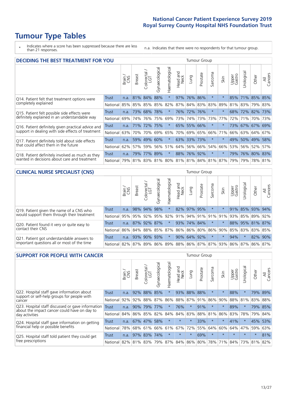# **Tumour Type Tables**

\* Indicates where a score has been suppressed because there are less than 21 responses.

n.a. Indicates that there were no respondents for that tumour group.

| <b>DECIDING THE BEST TREATMENT FOR YOU</b>         | <b>Tumour Group</b><br>Haematological<br>Gynaecological<br>Jrological<br>olorectal<br>LGT<br>ad and<br>Neck<br>Sarcoma<br>Prostate<br>All<br>Cancers<br>Upper<br>Gastro<br><b>Breast</b><br>Other<br>Lung<br>Brain<br>Skin<br>Head<br>$\cup$<br>84%<br>88%<br>$\star$<br>97%<br>$\star$<br>71% 85% 85%<br>81%<br>76% 86%<br>85%<br><b>Trust</b><br>n.a.<br>87% 84% 83% 83%<br>85% 82%<br>89%<br>81%<br>83%<br> 79% 83%<br>85%<br>85%<br>85%<br>National<br>76%<br>73%<br>78%<br>$^\star$<br>72% 76%<br>68% 72% 82% 73%<br>68%<br>$^\star$<br>Trust<br>n.a.<br>74% 73%<br>75%<br>69%<br>73%<br>77%<br>National<br>73%<br>72%<br>71%<br>70% 73%<br>69%<br>76%<br>74%<br>73% 67% 67% 69% |      |     |         |     |         |     |             |         |                                     |         |     |             |     |
|----------------------------------------------------|---------------------------------------------------------------------------------------------------------------------------------------------------------------------------------------------------------------------------------------------------------------------------------------------------------------------------------------------------------------------------------------------------------------------------------------------------------------------------------------------------------------------------------------------------------------------------------------------------------------------------------------------------------------------------------------|------|-----|---------|-----|---------|-----|-------------|---------|-------------------------------------|---------|-----|-------------|-----|
|                                                    |                                                                                                                                                                                                                                                                                                                                                                                                                                                                                                                                                                                                                                                                                       |      |     |         |     |         |     |             |         |                                     |         |     |             |     |
| Q14. Patient felt that treatment options were      |                                                                                                                                                                                                                                                                                                                                                                                                                                                                                                                                                                                                                                                                                       |      |     |         |     |         |     |             |         |                                     |         |     |             |     |
| completely explained                               |                                                                                                                                                                                                                                                                                                                                                                                                                                                                                                                                                                                                                                                                                       |      |     |         |     |         |     |             |         |                                     |         |     |             |     |
| Q15. Patient felt possible side effects were       |                                                                                                                                                                                                                                                                                                                                                                                                                                                                                                                                                                                                                                                                                       |      |     |         |     |         |     |             |         |                                     |         |     |             |     |
| definitely explained in an understandable way      |                                                                                                                                                                                                                                                                                                                                                                                                                                                                                                                                                                                                                                                                                       |      |     |         |     |         |     |             |         |                                     |         |     |             |     |
| Q16. Patient definitely given practical advice and | Trust                                                                                                                                                                                                                                                                                                                                                                                                                                                                                                                                                                                                                                                                                 | n.a. |     | 71% 72% | 75% | $\star$ | 65% |             | 55% 66% | $\ast$                              | $\star$ |     |             |     |
| support in dealing with side effects of treatment  | National                                                                                                                                                                                                                                                                                                                                                                                                                                                                                                                                                                                                                                                                              | 63%  | 70% | 70%     | 69% | 65%     | 70% |             | 69% 65% | 66%                                 | 71%     | 66% | 63% 64% 67% |     |
| Q17. Patient definitely told about side effects    | Trust                                                                                                                                                                                                                                                                                                                                                                                                                                                                                                                                                                                                                                                                                 | n.a. | 59% | 49%     | 60% | $\ast$  |     | 63% 33% 73% |         | $\ast$                              | $\star$ | 49% | 50% 49% 58% |     |
| that could affect them in the future               | National                                                                                                                                                                                                                                                                                                                                                                                                                                                                                                                                                                                                                                                                              | 62%  | 57% | 59%     |     | 56% 51% |     | 64% 56% 66% |         | 54%                                 | 66%     | 53% | 56% 52%     | 57% |
| Q18. Patient definitely involved as much as they   | Trust                                                                                                                                                                                                                                                                                                                                                                                                                                                                                                                                                                                                                                                                                 | n.a. | 79% | $77\%$  | 89% | $\star$ |     | 88% 76% 92% |         | $\star$                             | $\star$ | 79% | 76% 80% 83% |     |
| wanted in decisions about care and treatment       | National                                                                                                                                                                                                                                                                                                                                                                                                                                                                                                                                                                                                                                                                              | 79%  |     |         |     |         |     |             |         | 81% 83% 81% 80% 81% 81% 84% 81% 87% |         | 79% | 79% 78% 81% |     |

#### **CLINICAL NURSE SPECIALIST (CNS)** Tumour Group

|                                             |          | Brain | <b>Breast</b>       | olorectal<br>LGT<br>$\cup$ | aecologica<br>Ğ | $\overline{\sigma}$<br>Ü<br>aematologi | Head and<br>Neck | Lung        | Prostate | Sarcoma  | Skin    | Upper<br>Gastro                 | $\sigma$<br>rologica | Other                                   | All<br>ancers<br>$\cup$ |
|---------------------------------------------|----------|-------|---------------------|----------------------------|-----------------|----------------------------------------|------------------|-------------|----------|----------|---------|---------------------------------|----------------------|-----------------------------------------|-------------------------|
| Q19. Patient given the name of a CNS who    | Trust    | n.a.  |                     | 98% 94%                    | 98%             |                                        |                  | 82% 97% 95% |          | $^\star$ |         |                                 |                      | 91% 85% 93%                             | 94%                     |
| would support them through their treatment  | National |       | 95% 95% 92% 95% 92% |                            |                 |                                        | $ 91\% $         |             |          |          |         |                                 |                      | 94%   91%   91%   91%   93%   85%   89% | 92%                     |
| Q20. Patient found it very or quite easy to | Trust    | n.a.  |                     | 87% 92% 87%                |                 | $\star$                                |                  | 93% 74% 84% |          | $\ast$   | $\star$ |                                 |                      | 88% 95% 81% 87%                         |                         |
| contact their CNS                           | National |       | 86% 84% 88% 85%     |                            |                 | 87%                                    |                  | 86% 86% 80% |          |          |         | 86% 90% 85%                     |                      | 83% 83%                                 | 85%                     |
| Q21. Patient got understandable answers to  | Trust    | n.a.  |                     | 93% 90%                    | 93%             | $\star$                                |                  | 90% 64% 92% |          | $\star$  | $\star$ | 94%                             |                      | 82%                                     | $90\%$                  |
| important questions all or most of the time | National |       | 82% 87% 89% 86%     |                            |                 |                                        |                  |             |          |          |         | 89% 88% 86% 87% 87% 93% 86% 87% |                      | 86%                                     | 87%                     |

| <b>SUPPORT FOR PEOPLE WITH CANCER</b>                                                             |              |       |               |            |                |                |                         |             | <b>Tumour Group</b> |                          |         |                 |            |         |                |
|---------------------------------------------------------------------------------------------------|--------------|-------|---------------|------------|----------------|----------------|-------------------------|-------------|---------------------|--------------------------|---------|-----------------|------------|---------|----------------|
|                                                                                                   |              | Brain | <b>Breast</b> | Colorectal | Gynaecological | Haematological | ead and<br>Neck<br>Head | Lung        | Prostate            | arcoma<br>$\overline{2}$ | Skin    | Upper<br>Gastro | Jrological | Other   | All<br>Cancers |
| Q22. Hospital staff gave information about<br>support or self-help groups for people with         | Trust        | n.a.  | 92%           | 88%        | 85%            |                | 93%                     | 88%         | 88%                 | $\star$                  | $\star$ | 88%             | $\star$    | 79%     | 89%            |
| cancer                                                                                            | National     | 92%   | 92%           | 88%        | 87%            | 86%            | 88%                     | 87%         | 91%                 | 86%                      | 90%     | 88%             | 81%        | 83%     | 88%            |
| Q23. Hospital staff discussed or gave information<br>about the impact cancer could have on day to | <b>Trust</b> | n.a.  | 90%           | 79%        | 77%            | $\ast$         | 76%                     | $\star$     | 91%                 | $\star$                  | $\star$ | 89%             | $\star$    | 79%     | 85%            |
| day activities                                                                                    | National     | 84%   |               | 86% 85%    | 82%            | 84%            | 84%                     | 83%         | 88%                 | 81%                      | 86%     | 83%             | 78%        | 79%     | 84%            |
| Q24. Hospital staff gave information on getting                                                   | Trust        | n.a.  |               | 67% 47%    | 58%            | $\star$        | $\star$                 | $\star$     | 33%                 | $\star$                  | $\star$ | 41%             | $^\star$   | 45%     | 53%            |
| financial help or possible benefits                                                               | National     | 78%   |               | 68% 61%    | 66%            | 61%            | 67%                     | 72%         | 55%                 | 64%                      | 60%     | 64%             | 47%        | 59%     | 63%            |
| Q25. Hospital staff told patient they could get                                                   | Trust        | n.a.  |               | 97% 83%    | 74%            | $\star$        | $\star$                 | $\star$     | 69%                 | $\star$                  | $\star$ | $\star$         | $\star$    | $\star$ | 81%            |
| free prescriptions                                                                                | National I   | 82%   |               | 81% 83%    | 79%            | 87%            |                         | 84% 86% 80% |                     | 78%                      | 71%     | 84%             | 73%        | 81%     | 82%            |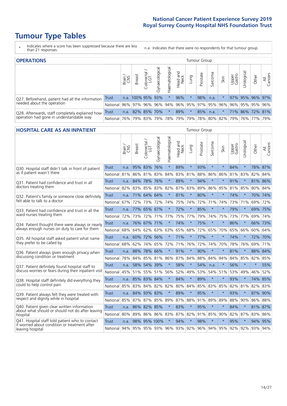# **Tumour Type Tables**

- \* Indicates where a score has been suppressed because there are less than 21 responses.
- n.a. Indicates that there were no respondents for that tumour group.

| <b>OPERATIONS</b>                                |          |       |                   |            |                   |                |                                                       |          | Tumour Group |         |      |                 |                       |             |                |
|--------------------------------------------------|----------|-------|-------------------|------------|-------------------|----------------|-------------------------------------------------------|----------|--------------|---------|------|-----------------|-----------------------|-------------|----------------|
|                                                  |          | Brain | <b>Breast</b>     | Colorectal | ত<br>Gynaecologic | Haematological | Head and<br>Neck                                      | Lung     | Prostate     | Sarcoma | Skin | Upper<br>Gastro | $\sigma$<br>Jrologica | Other       | All<br>Cancers |
| Q27. Beforehand, patient had all the information | Trust    |       | n.a. 100% 95% 93% |            |                   |                | 96%                                                   | $^\star$ | 98%          | n.a.    |      |                 | 97% 95% 96% 97%       |             |                |
| needed about the operation                       | National | 96%   |                   | 97% 96%    | 96% 94%           |                | 96% 95% 97% 95% 96%                                   |          |              |         |      | $96\%$          |                       | 95% 95% 96% |                |
| Q28. Afterwards, staff completely explained how  | Trust    | n.a.  |                   |            | 82% 85% 70%       | $\star$        | 89%                                                   | $\star$  | 85%          | n.a.    |      |                 | 71% 86% 72% 81%       |             |                |
| operation had gone in understandable way         | National | 76%   |                   | 79% 83%    |                   |                | 79%  78%  79%  79%  78%  80%  82%  79%  76%  77%  79% |          |              |         |      |                 |                       |             |                |

#### **HOSPITAL CARE AS AN INPATIENT** Tumour Group

|                                                                                                   |              | Brain | <b>Breast</b>               | Colorectal /<br>LGT | Gynaecological | Haematological | Head and<br>Neck | Lung    | Prostate | Sarcoma | Skin                | Upper<br>Gastro | Urological | Other   | Cancers<br>$\overline{\overline{A}}$ |
|---------------------------------------------------------------------------------------------------|--------------|-------|-----------------------------|---------------------|----------------|----------------|------------------|---------|----------|---------|---------------------|-----------------|------------|---------|--------------------------------------|
| Q30. Hospital staff didn't talk in front of patient                                               | Trust        | n.a.  | 95% 83%                     |                     | 76%            | $\star$        | 89%              | $\star$ | 93%      | $\star$ | $\star$             | 84%             | $\star$    | 78% 87% |                                      |
| as if patient wasn't there                                                                        | National     | 81%   | 86%                         | 81%                 | 83%            | 84%            |                  | 83% 81% | 88%      | 86%     | 86%                 | 81%             | 83%        | 82%     | 84%                                  |
| Q31. Patient had confidence and trust in all                                                      | <b>Trust</b> | n.a.  | 84%                         | 78%                 | 76%            | $\star$        | 89%              | $\star$ | 94%      | $\star$ | $\star$             | 91%             | $\star$    | 81% 86% |                                      |
| doctors treating them                                                                             | National     | 82%   | 83%                         | 85%                 | 83%            | 82%            |                  | 87% 83% | 89%      | 86%     | 85%                 |                 | 81% 85%    | 80% 84% |                                      |
| Q32. Patient's family or someone close definitely                                                 | <b>Trust</b> | n.a.  |                             | 71% 64%             | 64%            | $\star$        | 81%              | $\star$ | 80%      | $\star$ | $\star$             | 74%             | $\star$    | 70% 74% |                                      |
| felt able to talk to a doctor                                                                     | National     | 67%   | 72%                         | 73%                 | 72%            | 74%            | 75%              | 74%     | 72%      | 71%     | 74%                 | 73%             | 71%        | 69% 72% |                                      |
| Q33. Patient had confidence and trust in all the<br>ward nurses treating them                     | <b>Trust</b> | n.a.  |                             | 77% 65%             | 67%            | $\star$        | 72%              | $\star$ | 85%      | $\star$ | $\star$             | 79%             | $\star$    | 69% 75% |                                      |
|                                                                                                   | National     | 72%   | 73%                         | 72%                 |                | 71% 77%        |                  | 75% 77% | 79%      | 74%     | 75%                 |                 | 73% 77%    | 69% 74% |                                      |
| Q34. Patient thought there were always or nearly<br>always enough nurses on duty to care for them | <b>Trust</b> | n.a.  |                             | 76% 67%             | 71%            | $\star$        | 74%              | $\star$ | 75%      | $\star$ | $\star$             | 86%             | $\star$    | 66% 73% |                                      |
|                                                                                                   | National     | 68%   | 64%                         | 62%                 | 63%            | 63%            | 65% 68%          |         | 72%      | 65%     | 70%                 | 65%             | 66%        | 60% 64% |                                      |
| Q35. All hospital staff asked patient what name<br>they prefer to be called by                    | <b>Trust</b> | n.a.  |                             | 60% 72%             | 56%            | $\star$        | 71%              | $\star$ | 77%      | $\star$ | $\star$             | 74%             | $\star$    | 72% 70% |                                      |
|                                                                                                   | National     | 68%   | 62%                         | 74%                 | 65%            | 72%            | 71%              | 76%     | 72%      | 74%     | 70%                 | 78%             | 76%        | 69% 71% |                                      |
| Q36. Patient always given enough privacy when                                                     | <b>Trust</b> | n.a.  | 88%                         | 78%                 | 66%            | $\star$        | 91%              | $\star$ | 90%      | $\star$ | $\star$             | 81%             | $\star$    | 88% 84% |                                      |
| discussing condition or treatment                                                                 | National     | 78%   | 84%                         | 85% 81%             |                | 86%            |                  | 87% 84% | 88%      | 84%     | 84%                 |                 | 84% 85%    | 82% 85% |                                      |
| Q37. Patient definitely found hospital staff to                                                   | <b>Trust</b> | n.a.  | 58%                         | 54%                 | 39%            | $\star$        | 58%              | $\star$ | 54%      | n.a.    | $\star$             | 56%             | $\star$    | $\star$ | 55%                                  |
| discuss worries or fears during their inpatient visit                                             | National     | 45%   | 51%                         | 55%                 | 51%            | 56%            | 52%              | 49%     | 53%      | 54%     | 51%                 |                 | 53% 49%    | 46%     | 52%                                  |
| Q38. Hospital staff definitely did everything they                                                | <b>Trust</b> |       | n.a. 85% 83% 84%            |                     |                | $\star$        | 84%              | $\star$ | 89%      | $\star$ | $\star$             | 93%             | $\star$    | 74% 85% |                                      |
| could to help control pain                                                                        | National     | 85%   | 83%                         | 84%                 | 82%            | 82%            |                  | 80% 84% | 85%      | 83%     | 85%                 |                 | 82% 81%    | 82% 83% |                                      |
| Q39. Patient always felt they were treated with                                                   | <b>Trust</b> | n.a.  | 84%                         | 93% 83%             |                | $\star$        | 89%              | $\star$ | 95%      | $\star$ | $\star$             | 93%             | $\star$    | 87% 90% |                                      |
| respect and dignity while in hospital                                                             | National     | 85%   | 87%                         | 87%                 | 85%            | 89%            | 87%              | 88%     | 91%      | 89%     | 89%                 | 88%             | 90%        | 86%     | 88%                                  |
| Q40. Patient given clear written information<br>about what should or should not do after leaving  | <b>Trust</b> | n.a.  | 86%                         | 82% 85%             |                | $\star$        | 83%              | $\star$ | 95%      | $\star$ | $\star$             | 84%             | $\star$    | 81% 87% |                                      |
| hospital                                                                                          | National     | 80%   | 89%                         | 86%                 | 86%            | 83%            |                  | 87% 82% | 91%      | 85%     | 90%                 |                 | 82% 87%    | 83% 86% |                                      |
| Q41. Hospital staff told patient who to contact<br>if worried about condition or treatment after  | <b>Trust</b> | n.a.  | 98%                         |                     | 95% 100%       | $\star$        | 94%              | $\star$ | 98%      | $\star$ | $\star$             | 95%             | $\star$    | 94% 95% |                                      |
| leaving hospital                                                                                  | National     |       | 94% 95% 95% 93% 96% 93% 92% |                     |                |                |                  |         |          |         | 96% 94% 95% 92% 92% |                 |            | 93% 94% |                                      |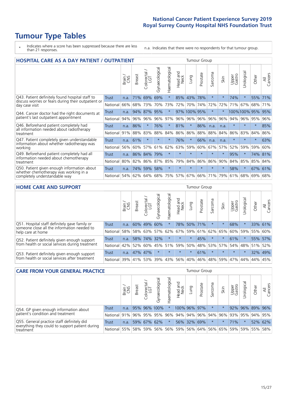# **Tumour Type Tables**

\* Indicates where a score has been suppressed because there are less than 21 responses.

n.a. Indicates that there were no respondents for that tumour group.

| <b>HOSPITAL CARE AS A DAY PATIENT / OUTPATIENT</b> |                                                                                                      |                                                          |                            |                                 |                |                         |         |            | <b>Tumour Group</b>        |                                 |         |            |                               |                                    |  |  |  |
|----------------------------------------------------|------------------------------------------------------------------------------------------------------|----------------------------------------------------------|----------------------------|---------------------------------|----------------|-------------------------|---------|------------|----------------------------|---------------------------------|---------|------------|-------------------------------|------------------------------------|--|--|--|
|                                                    | Brain                                                                                                | <b>Breast</b>                                            | ╮<br>olorectal<br>LGT<br>Ũ | Gynaecological                  | Haematological | ead and<br>Neck<br>Head | Lung    | Prostate   | Sarcoma                    | Skin                            |         | Urological | Other                         | All<br>Cancers                     |  |  |  |
| <b>Trust</b>                                       | n.a.                                                                                                 | 71%                                                      | 69%                        | 69%                             | $\star$        | 85%                     | 43%     | 78%        | $\star$                    | $\ast$                          | 74%     | $\star$    | 55%                           | 71%                                |  |  |  |
|                                                    | 66%                                                                                                  | 68%                                                      | 73%                        | 70%                             | 73%            | 72%                     | 70%     | 74%        | 72%                        | 72%                             | 71%     | 67%        | 68%                           | 71%                                |  |  |  |
| Trust                                              | n.a.                                                                                                 | 94%                                                      | 87%                        | 95%                             | $\star$        |                         |         |            | $\star$                    |                                 |         |            |                               | 95%                                |  |  |  |
|                                                    |                                                                                                      |                                                          | 96%                        | 96%                             | 97%            |                         |         |            | 96%                        | 96%                             |         |            |                               | 96%                                |  |  |  |
| <b>Trust</b>                                       | n.a.                                                                                                 | 86%                                                      |                            | 76%                             | $\star$        | 81%                     | $\star$ | 86%        | n.a.                       | n.a.                            | $\star$ | $\star$    | $\star$                       | 85%                                |  |  |  |
| National                                           | 91%                                                                                                  | 88%                                                      | 83%                        | 88%                             | 84%            | 86%                     | 86%     |            | 88%                        | 84%                             | 86%     | 83%        | 84%                           | 86%                                |  |  |  |
| Trust                                              | n.a.                                                                                                 | 61%                                                      | $\star$                    |                                 | $\star$        | 76%                     | $\star$ | 66%        | n.a.                       | n.a.                            | $\star$ | $\star$    | $\star$                       | 63%                                |  |  |  |
|                                                    |                                                                                                      |                                                          | 57%                        | 61%                             | 62%            | 63%                     | 59%     |            | 67%                        | 57%                             | 52%     | 59%        | 59%                           | 60%                                |  |  |  |
| Trust                                              | n.a.                                                                                                 |                                                          | 84%                        | 79%                             | $\star$        | $\star$                 | $\star$ | $\star$    | $\star$                    | $\star$                         | 95%     | $\star$    |                               | 74% 81%                            |  |  |  |
|                                                    |                                                                                                      |                                                          | 86%                        | 87%                             | 85%            |                         |         |            | 86%                        | 90%                             |         | 85%        |                               |                                    |  |  |  |
| <b>Trust</b>                                       | n.a.                                                                                                 |                                                          |                            | 58%                             | $\star$        | $\star$                 | $\star$ | $\star$    | $\star$                    | $\star$                         | 58%     | $\star$    | 67%                           | 61%                                |  |  |  |
|                                                    | 54%                                                                                                  | 62%                                                      | 64%                        | 68%                             | 75%            | 57%                     | 67%     |            | 71%                        | 79%                             | 61%     | 68%        | 69%                           | 68%                                |  |  |  |
|                                                    | discuss worries or fears during their outpatient or<br>Q44. Cancer doctor had the right documents at | National<br>National<br>National<br>National<br>National | 94%<br>56%<br>80%          | 96%<br>60%<br>86%<br>82%<br>74% | 59%            |                         |         | 96%<br>79% | 97% 100% 95%<br>96%<br>84% | 96%<br>88%<br>60%<br>86%<br>66% |         |            | Upper<br>Gastro<br>94%<br>84% | 100%100% 95%<br>96% 95%<br>85% 84% |  |  |  |

#### **HOME CARE AND SUPPORT** Tumour Group

|                                                                                                                   |              | Brain | <b>Breast</b> | Colorectal<br>LGT | $\overline{\sigma}$<br>Gynaecologic | ত<br>Haematologic | ad and<br>Neck<br>Head | Lung    | Prostate | Sarcoma | Skin    | Upper<br>Gastro | rological | Other   | All<br>Cancers |
|-------------------------------------------------------------------------------------------------------------------|--------------|-------|---------------|-------------------|-------------------------------------|-------------------|------------------------|---------|----------|---------|---------|-----------------|-----------|---------|----------------|
| Q51. Hospital staff definitely gave family or<br>someone close all the information needed to<br>help care at home | <b>Trust</b> | n.a.  | 60%           | 49%               | 60%                                 | $^\star$          | 78%                    | 50% 71% |          |         | $\star$ | 68%             | $\star$   | 33%     | 61%            |
|                                                                                                                   | National     | 58%   |               | 58% 63%           | 57%                                 | 62%               | 67%                    |         | 59% 61%  |         | 62% 65% |                 | 60% 59%   | 55%     | 60%            |
| Q52. Patient definitely given enough support<br>from health or social services during treatment                   | Trust        | n.a.  |               | 58% 74%           | 32%                                 | $\star$           | $\star$                | $\star$ | 45%      | $\star$ |         | 61%             | $\star$   | 55% 57% |                |
|                                                                                                                   | National     | 42%   | 52%           | 60%               |                                     | 45% 51%           | 59%                    | 50%     | 48%      |         | 53% 57% |                 | 54% 48%   | 51%     | 52%            |
| Q53. Patient definitely given enough support<br>from health or social services after treatment                    | Trust        | n.a.  | 47% 47%       |                   | $\star$                             | $\star$           | $\star$                | $\star$ | 61%      |         | $\star$ | $\star$         | $\star$   | 32% 49% |                |
|                                                                                                                   | National     | 39%   | 41% 53%       |                   | 39%                                 | $ 43\% $          | 56%                    | 40%     | 46%      | 48%     | 59%     | 47%             | 44%       | 44%     | 45%            |

| <b>CARE FROM YOUR GENERAL PRACTICE</b>                                                                     |              |        |               |                        |               |                |                                                     | <b>Tumour Group</b> |             |         |                                   |                 |                      |       |                |  |
|------------------------------------------------------------------------------------------------------------|--------------|--------|---------------|------------------------|---------------|----------------|-----------------------------------------------------|---------------------|-------------|---------|-----------------------------------|-----------------|----------------------|-------|----------------|--|
|                                                                                                            |              | Brain, | <b>Breast</b> | ╮<br>Colorectal<br>LGT | Gynaecologica | Haematological | Head and<br>Neck                                    | Lung                | Prostate    | Sarcoma | Skin                              | Upper<br>Gastro | $\sigma$<br>Urologic | Other | All<br>Cancers |  |
| Q54. GP given enough information about<br>patient's condition and treatment                                | Trust        | n.a.   |               |                        | 95% 96% 100%  | $\ast$         | 100% 96% 97%                                        |                     |             | $\star$ |                                   |                 | 92% 96% 89% 96%      |       |                |  |
|                                                                                                            | National 91% |        |               |                        |               |                | 96% 95% 95% 96% 94% 94% 96%                         |                     |             |         | 94%   96%   93%   95%   94%   95% |                 |                      |       |                |  |
| Q55. General practice staff definitely did<br>everything they could to support patient during<br>treatment | <b>Trust</b> | n.a.   |               |                        | 59% 67% 62%   |                |                                                     |                     | 56% 32% 69% | $\star$ | $\star$                           | 71%             | $\star$              |       | 52% 62%        |  |
|                                                                                                            | National 55% |        |               |                        |               |                | 58% 59% 56% 56% 59% 56% 64% 56% 65% 59% 59% 55% 58% |                     |             |         |                                   |                 |                      |       |                |  |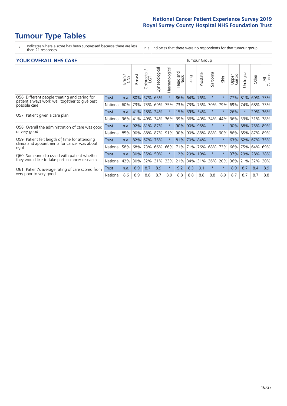# **Tumour Type Tables**

- \* Indicates where a score has been suppressed because there are less than 21 responses.
- n.a. Indicates that there were no respondents for that tumour group.

### **YOUR OVERALL NHS CARE** THE TWO CONTROLLER THE THE THEORY OF THE THEORY OF THE TUMOUR Group

|                                                                                                 |              | Brain<br>CNS | <b>Breast</b> | olorectal.<br>LGT<br>$\cup$ | Gynaecological | Haematological | aad and<br>Neck<br>Head | Lung    | Prostate | arcoma<br>$\sqrt{ }$ | Skin     | Upper<br>Gastro | Urological | Other   | All<br>Cancers |
|-------------------------------------------------------------------------------------------------|--------------|--------------|---------------|-----------------------------|----------------|----------------|-------------------------|---------|----------|----------------------|----------|-----------------|------------|---------|----------------|
| Q56. Different people treating and caring for                                                   | <b>Trust</b> | n.a.         | 80%           | 67%                         | 65%            |                | 86%                     | 64%     | 76%      | $\star$              | $^\star$ | 77%             | 81%        | 60%     | 73%            |
| patient always work well together to give best<br>possible care                                 | National     | 60%          |               | 73% 73%                     | 69%            | 75%            | 73%                     | 73%     | 75%      | 70%                  | 79%      | 69%             | 74%        | 68%     | 73%            |
| Q57. Patient given a care plan                                                                  | <b>Trust</b> | n.a.         |               | 41% 28%                     | 24%            |                | 15%                     | 39% 54% |          | $\star$              | $^\star$ | 26%             |            | 29% 36% |                |
|                                                                                                 | National     | 36%          | 41%           | 40%                         | 34%            | 36%            | 39%                     | 36%     | 40%      | 34%                  | 44%      | 36%             | 33%        | 31%     | 38%            |
| Q58. Overall the administration of care was good                                                | Trust        | n.a.         |               | 92% 81%                     | 87%            |                | $90\%$                  | 90% 95% |          | $\star$              | $\star$  | 90%             | 88%        | 75% 89% |                |
| or very good                                                                                    | National     | 85%          |               | 90% 88%                     | 87%            | 91%            | 90%                     | 90%     | 88%      | 88%                  | 90%      | 86%             | 85%        | 87% 89% |                |
| Q59. Patient felt length of time for attending<br>clinics and appointments for cancer was about | <b>Trust</b> | n.a.         |               | 82% 67%                     | 75%            |                | 81%                     | 70% 84% |          | $\star$              | $\star$  |                 | 63% 62%    | 67% 75% |                |
| right                                                                                           | National     | 58%          |               | 68% 73%                     | 66%            | 66%            | 71%                     | 71%     | 76%      | 68%                  | 73%      | 66%             | 75%        | 64%     | 69%            |
| Q60. Someone discussed with patient whether                                                     | Trust        | n.a.         | $30\%$        | 35%                         | 50%            |                | 12%                     | 29%     | 19%      | $\star$              | $\star$  | 37%             | 29%        | 28%     | 28%            |
| they would like to take part in cancer research                                                 | National     | 42%          | $30\%$        | 32%                         | 31%            | 33%            | 21%                     | 34%     | 31%      | 36%                  | 20%      | 36%             | 21%        | 32%     | 30%            |
| Q61. Patient's average rating of care scored from<br>very poor to very good                     | Trust        | n.a.         | 8.9           | 8.7                         | 8.9            | $\star$        | 9.2                     | 8.3     | 9.1      | $\star$              | $\star$  | 8.9             | 8.7        | 8.4     | 8.9            |
|                                                                                                 | National     | 8.6          | 8.9           | 8.8                         | 8.7            | 8.9            | 8.8                     | 8.8     | 8.8      | 8.8                  | 8.9      | 8.7             | 8.7        | 8.7     | 8.8            |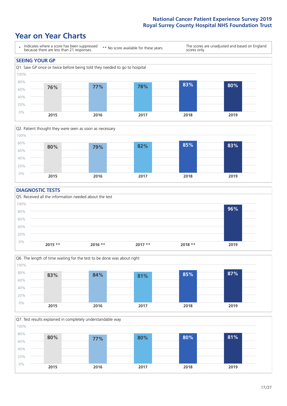### **Year on Year Charts**





### **DIAGNOSTIC TESTS**





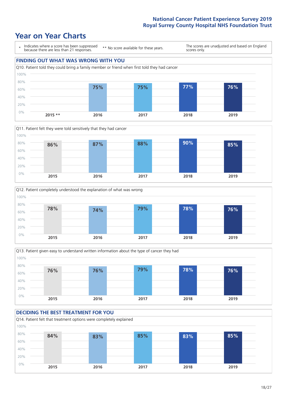







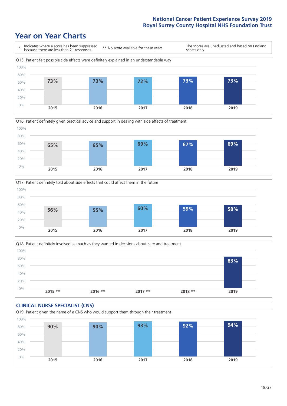





Q18. Patient definitely involved as much as they wanted in decisions about care and treatment  $0%$ 20% 40% 60% 80% 100% **2015 \*\* 2016 \*\* 2017 \*\* 2018 \*\* 2019 83%**

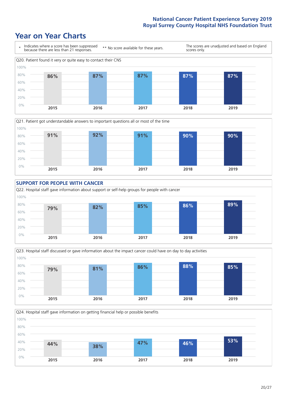







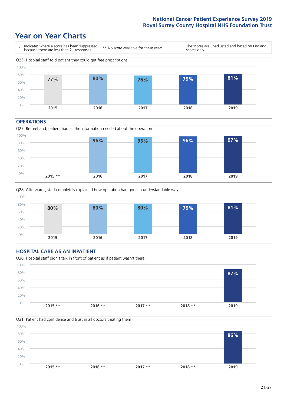### **Year on Year Charts**



#### **OPERATIONS**





### **HOSPITAL CARE AS AN INPATIENT** Q30. Hospital staff didn't talk in front of patient as if patient wasn't there 0% 20% 40% 60% 80% 100% **2015 \*\* 2016 \*\* 2017 \*\* 2018 \*\* 2019 87%**

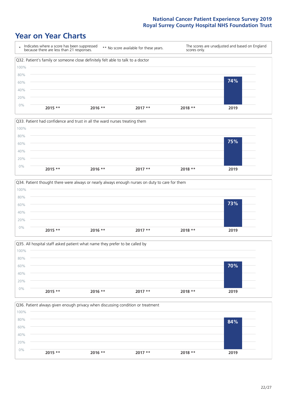







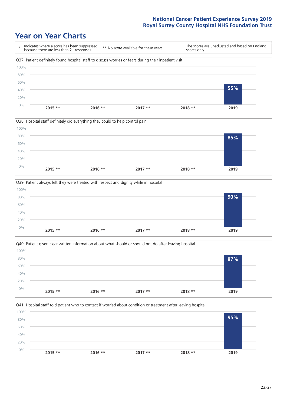







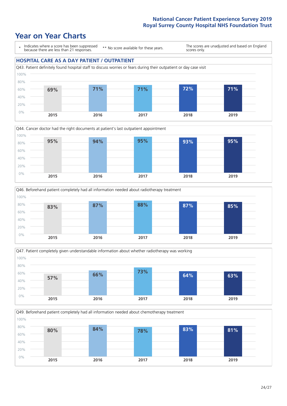







Q49. Beforehand patient completely had all information needed about chemotherapy treatment 100%

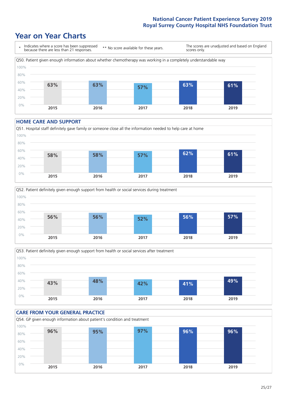### **Year on Year Charts**



#### **HOME CARE AND SUPPORT**







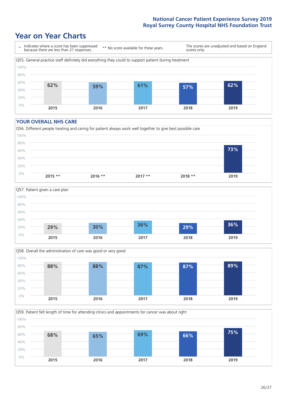### **Year on Year Charts**



#### **YOUR OVERALL NHS CARE**







Q59. Patient felt length of time for attending clinics and appointments for cancer was about right 100%